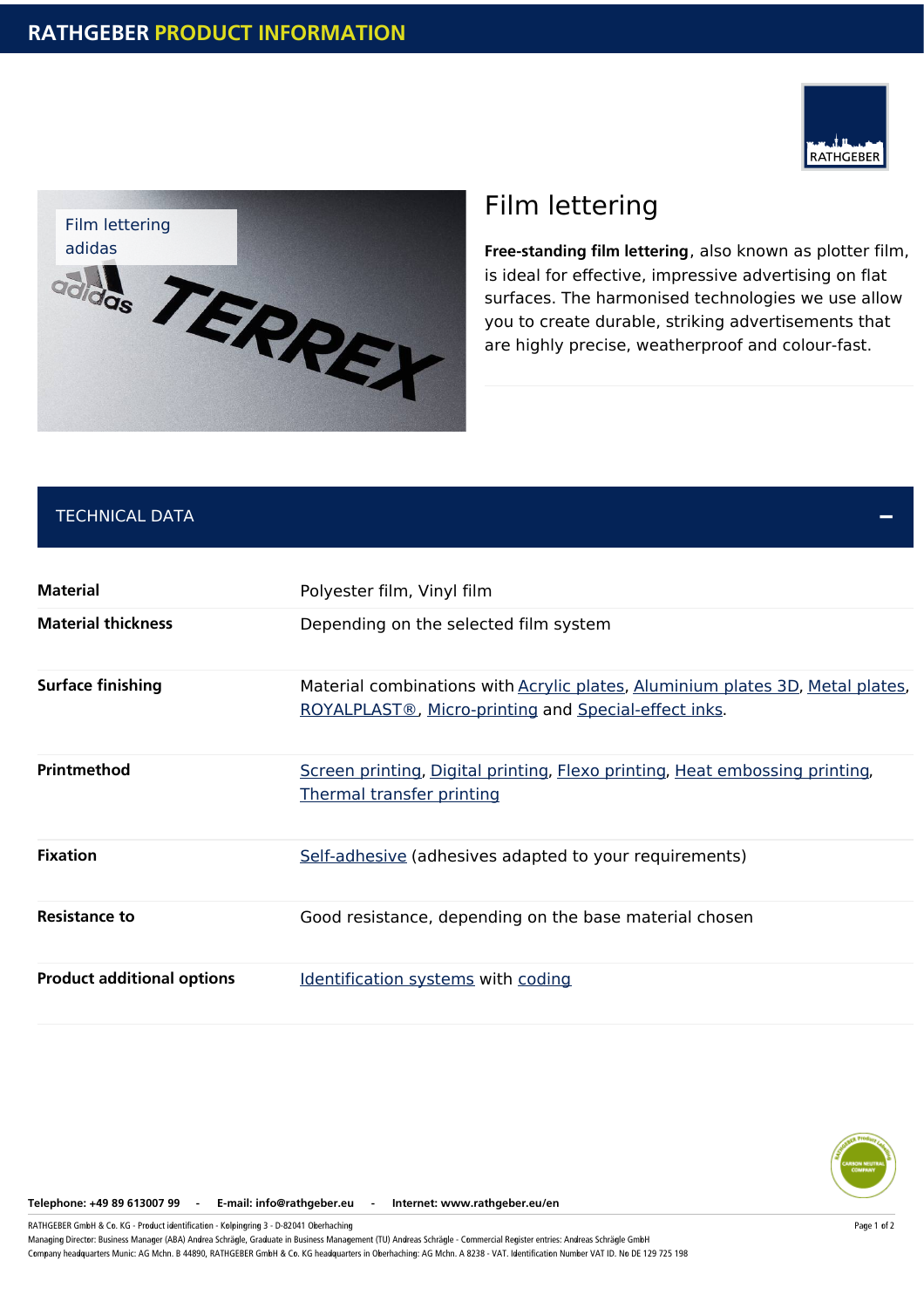



# Film lettering

**Free-standing film lettering**, also known as plotter film, is ideal for effective, impressive advertising on flat surfaces. The harmonised technologies we use allow you to create durable, striking advertisements that are highly precise, weatherproof and colour-fast.

## TECHNICAL DATA

| <b>Material</b>                   | Polyester film, Vinyl film                                                                                                                    |
|-----------------------------------|-----------------------------------------------------------------------------------------------------------------------------------------------|
| <b>Material thickness</b>         | Depending on the selected film system                                                                                                         |
| <b>Surface finishing</b>          | Material combinations with <b>Acrylic plates</b> , Aluminium plates 3D, Metal plates,<br>ROYALPLAST®, Micro-printing and Special-effect inks. |
| Printmethod                       | Screen printing, Digital printing, Flexo printing, Heat embossing printing,<br><b>Thermal transfer printing</b>                               |
| <b>Fixation</b>                   | Self-adhesive (adhesives adapted to your requirements)                                                                                        |
| <b>Resistance to</b>              | Good resistance, depending on the base material chosen                                                                                        |
| <b>Product additional options</b> | Identification systems with coding                                                                                                            |



**Telephone: +49 89 613007 99 - E-mail: info@rathgeber.eu - Internet: www.rathgeber.eu/en**

RATHGEBER GmbH & Co. KG - Product identification - Kolpingring 3 - D-82041 Oberhaching

Managing Director: Business Manager (ABA) Andrea Schrägle, Graduate in Business Management (TU) Andreas Schrägle - Commercial Register entries: Andreas Schrägle GmbH Company headquarters Munic: AG Mchn. B 44890, RATHGEBER GmbH & Co. KG headquarters in Oberhaching: AG Mchn. A 8238 - VAT. Identification Number VAT ID. No DE 129 725 198